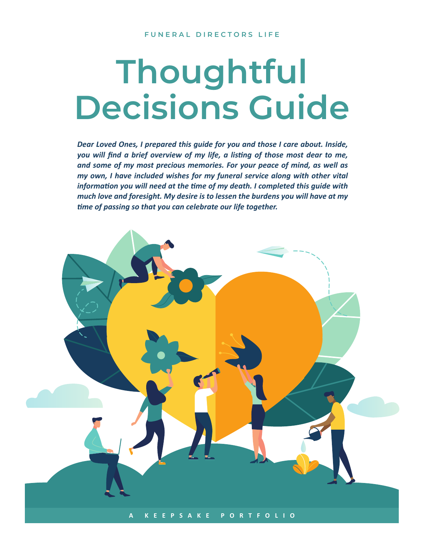# **Thoughtful Decisions Guide**

*Dear Loved Ones, I prepared this guide for you and those I care about. Inside, you will find a brief overview of my life, a listing of those most dear to me, and some of my most precious memories. For your peace of mind, as well as my own, I have included wishes for my funeral service along with other vital information you will need at the time of my death. I completed this guide with much love and foresight. My desire is to lessen the burdens you will have at my time of passing so that you can celebrate our life together.*

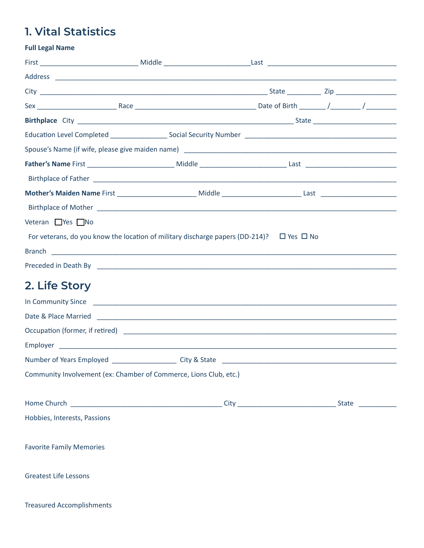# **1. Vital Statistics**

| <b>Full Legal Name</b>                                                                             |  |  |
|----------------------------------------------------------------------------------------------------|--|--|
|                                                                                                    |  |  |
|                                                                                                    |  |  |
|                                                                                                    |  |  |
|                                                                                                    |  |  |
|                                                                                                    |  |  |
|                                                                                                    |  |  |
|                                                                                                    |  |  |
|                                                                                                    |  |  |
|                                                                                                    |  |  |
|                                                                                                    |  |  |
|                                                                                                    |  |  |
| Veteran Yes No                                                                                     |  |  |
| For veterans, do you know the location of military discharge papers (DD-214)? $\Box$ Yes $\Box$ No |  |  |
|                                                                                                    |  |  |
|                                                                                                    |  |  |
| 2. Life Story                                                                                      |  |  |
|                                                                                                    |  |  |
|                                                                                                    |  |  |
|                                                                                                    |  |  |
|                                                                                                    |  |  |
|                                                                                                    |  |  |
| Community Involvement (ex: Chamber of Commerce, Lions Club, etc.)                                  |  |  |
|                                                                                                    |  |  |
|                                                                                                    |  |  |
| Hobbies, Interests, Passions                                                                       |  |  |
| <b>Favorite Family Memories</b>                                                                    |  |  |
| <b>Greatest Life Lessons</b>                                                                       |  |  |
| <b>Treasured Accomplishments</b>                                                                   |  |  |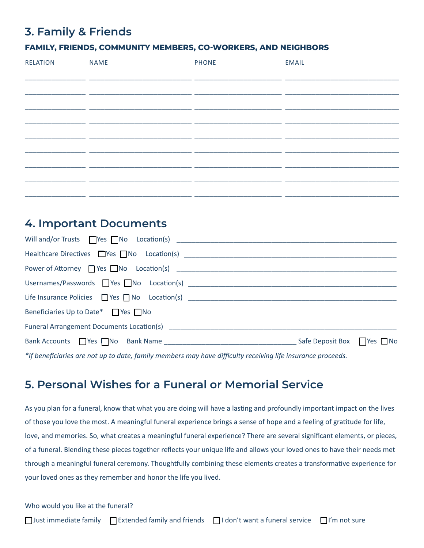## **3. Family & Friends**

#### **FAMILY, FRIENDS, COMMUNITY MEMBERS, CO-WORKERS, AND NEIGHBORS**

| <b>RELATION</b> | <b>NAME</b> | <b>PHONE</b> | <b>EMAIL</b> |
|-----------------|-------------|--------------|--------------|
|                 |             |              |              |
|                 |             |              |              |
|                 |             |              |              |
|                 |             |              |              |
|                 |             |              |              |
|                 |             |              |              |
|                 |             |              |              |
|                 |             |              |              |
|                 |             |              |              |
|                 |             |              |              |
|                 |             |              |              |
|                 |             |              |              |

## **4. Important Documents**

| Beneficiaries Up to Date* $\Box$ Yes $\Box$ No                                                             |  |
|------------------------------------------------------------------------------------------------------------|--|
|                                                                                                            |  |
|                                                                                                            |  |
| $*$ the proficience are not up to data family mambers may bay difficulty resolving life insurance proceeds |  |

*\*If beneficiaries are not up to date, family members may have difficulty receiving life insurance proceeds.*

## **5. Personal Wishes for a Funeral or Memorial Service**

As you plan for a funeral, know that what you are doing will have a lasting and profoundly important impact on the lives of those you love the most. A meaningful funeral experience brings a sense of hope and a feeling of gratitude for life, love, and memories. So, what creates a meaningful funeral experience? There are several significant elements, or pieces, of a funeral. Blending these pieces together reflects your unique life and allows your loved ones to have their needs met through a meaningful funeral ceremony. Thoughtfully combining these elements creates a transformative experience for your loved ones as they remember and honor the life you lived.

Who would you like at the funeral?